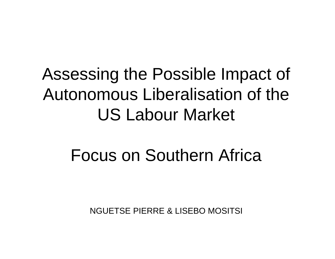### Assessing the Possible Impact of Autonomous Liberalisation of the US Labour Market

### Focus on Southern Africa

NGUETSE PIERRE & LISEBO MOSITSI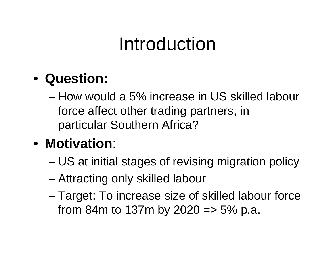## Introduction

#### • **Question:**

- How would a 5% increase in US skilled labour force affect other trading partners, in particular Southern Africa?
- **Motivation**:
	- –US at initial stages of revising migration policy
	- –Attracting only skilled labour
	- – Target: To increase size of skilled labour force from 84m to 137m by 2020 =  $>$  5% p.a.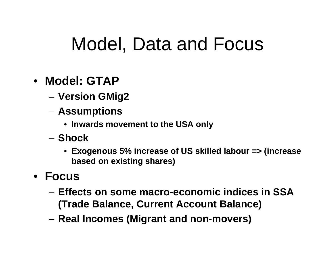### Model, Data and Focus

- **Model: GTAP**
	- –**Version GMig2**
	- – **Assumptions** 
		- **Inwards movement to the USA only**
	- **Shock**
		- **Exogenous 5% increase of US skilled labour => (increase based on existing shares)**
- **Focus**
	- **Effects on some macro-economic indices in SSA (Trade Balance, Current Account Balance)**
	- **Real Incomes (Migrant and non-movers)**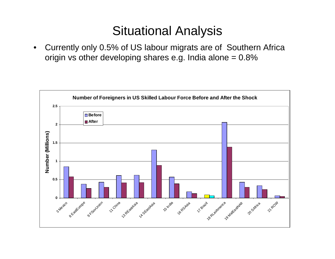#### Situational Analysis

 $\bullet$  Currently only 0.5% of US labour migrats are of Southern Africa origin vs other developing shares e.g. India alone  $= 0.8\%$ 

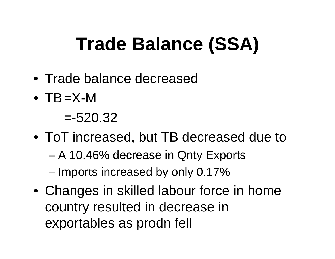# **Trade Balance (SSA)**

- Trade balance decreased
- TB=X-M

 $= -520.32$ 

- ToT increased, but TB decreased due to
	- –A 10.46% decrease in Qnty Exports
	- Imports increased by only 0.17%
- Changes in skilled labour force in home country resulted in decrease in exportables as prodn fell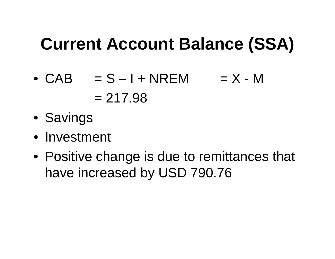### **Current Account Balance (SSA)**

- $\bullet$  CAB  $=$  S I + NREM  $=$  X M  $= 217.98$
- Savings
- Investment
- Positive change is due to remittances that have increased by USD 790.76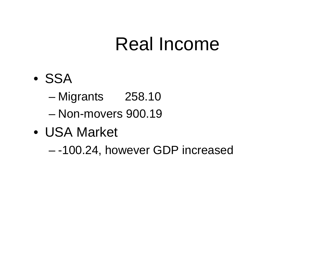### Real Income

- SSA
	- Migrants 258.10
	- Non-movers 900.19
- USA Market
	- -100.24, however GDP increased